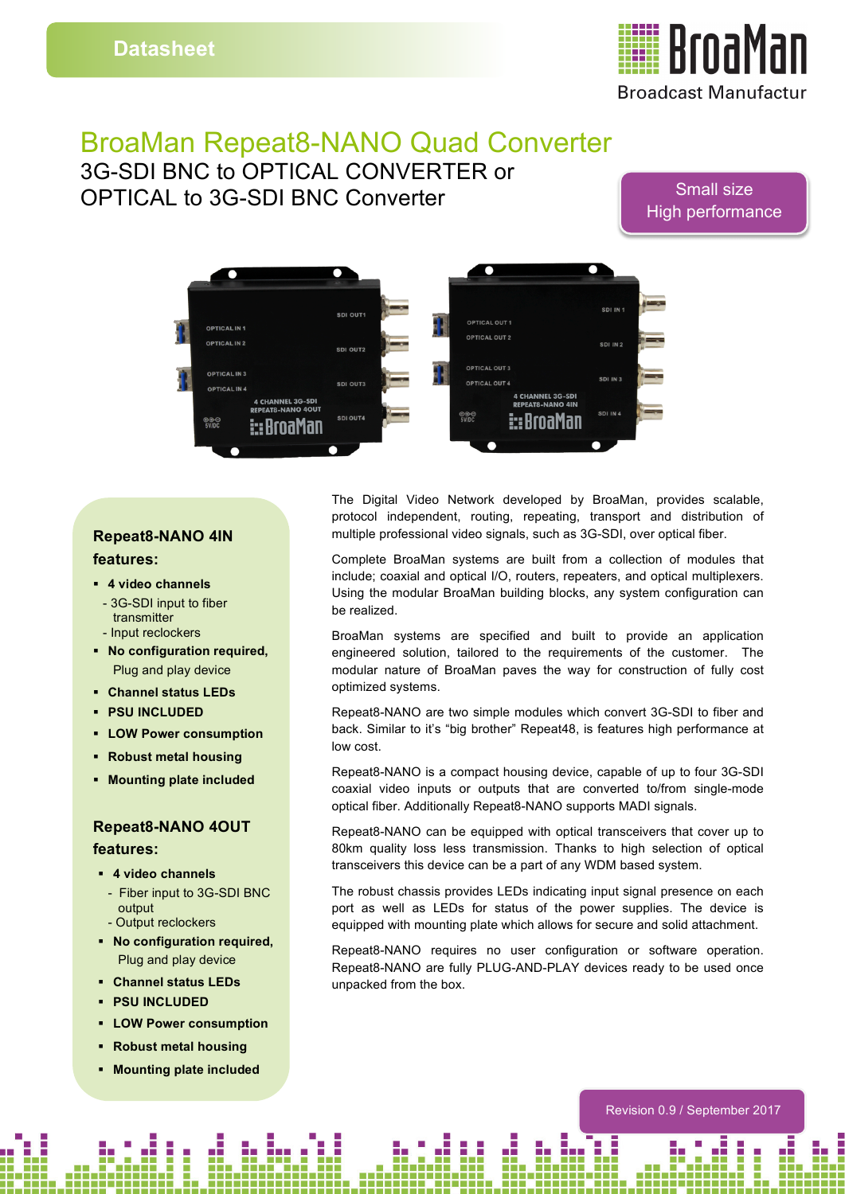

# BroaMan Repeat8-NANO Quad Converter

3G-SDI BNC to OPTICAL CONVERTER or OPTICAL to 3G-SDI BNC Converter

### Small size High performance



#### **Repeat8-NANO 4IN features:**

- § **4 video channels**
- 3G-SDI input to fiber transmitter
- Input reclockers
- § **No configuration required,** Plug and play device
- § **Channel status LEDs**
- § **PSU INCLUDED**
- § **LOW Power consumption**
- § **Robust metal housing**
- § **Mounting plate included**

#### **Repeat8-NANO 4OUT features:**

- § **4 video channels**
- Fiber input to 3G-SDI BNC output - Output reclockers
- § **No configuration required,** Plug and play device
- § **Channel status LEDs**
- § **PSU INCLUDED**
- § **LOW Power consumption**
- § **Robust metal housing**
- § **Mounting plate included**

The Digital Video Network developed by BroaMan, provides scalable, protocol independent, routing, repeating, transport and distribution of multiple professional video signals, such as 3G-SDI, over optical fiber.

Complete BroaMan systems are built from a collection of modules that include; coaxial and optical I/O, routers, repeaters, and optical multiplexers. Using the modular BroaMan building blocks, any system configuration can be realized.

BroaMan systems are specified and built to provide an application engineered solution, tailored to the requirements of the customer. The modular nature of BroaMan paves the way for construction of fully cost optimized systems.

Repeat8-NANO are two simple modules which convert 3G-SDI to fiber and back. Similar to it's "big brother" Repeat48, is features high performance at low cost.

Repeat8-NANO is a compact housing device, capable of up to four 3G-SDI coaxial video inputs or outputs that are converted to/from single-mode optical fiber. Additionally Repeat8-NANO supports MADI signals.

Repeat8-NANO can be equipped with optical transceivers that cover up to 80km quality loss less transmission. Thanks to high selection of optical transceivers this device can be a part of any WDM based system.

The robust chassis provides LEDs indicating input signal presence on each port as well as LEDs for status of the power supplies. The device is equipped with mounting plate which allows for secure and solid attachment.

Repeat8-NANO requires no user configuration or software operation. Repeat8-NANO are fully PLUG-AND-PLAY devices ready to be used once unpacked from the box.

Revision 0.9 / September 2017